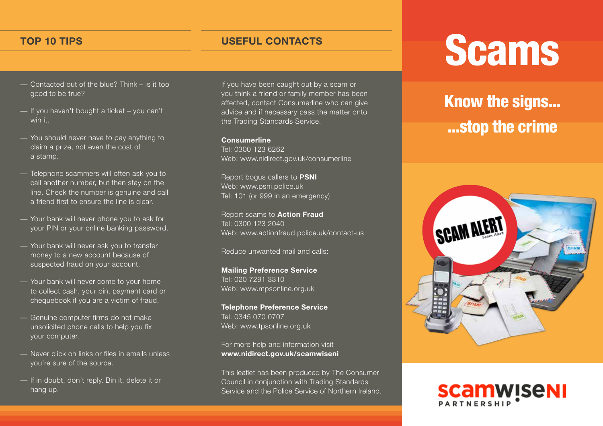- Contacted out of the blue? Think is it too good to be true?
- If you haven't bought a ticket you can't win it
- You should never have to pay anything to claim a prize, not even the cost of a stamp.
- Telephone scammers will often ask you to call another number, but then stay on the line. Check the number is genuine and call a friend first to ensure the line is clear.
- Your bank will never phone you to ask for your PIN or your online banking password.
- Your bank will never ask you to transfer money to a new account because of suspected fraud on your account.
- Your bank will never come to your home to collect cash, your pin, payment card or chequebook if you are a victim of fraud.
- Genuine computer firms do not make unsolicited phone calls to help you fix your computer.
- Never click on links or files in emails unless you're sure of the source.
- If in doubt, don't reply. Bin it, delete it or hang up.

If you have been caught out by a scam or you think a friend or family member has been affected, contact Consumerline who can give advice and if necessary pass the matter onto the Trading Standards Service.

## **Consumerline**

Tel: 0300 123 6262 Web: www.nidirect.gov.uk/consumerline

Report bogus callers to **PSNI** Web: www.psni.police.uk Tel: 101 (or 999 in an emergency)

Report scams to **Action Fraud** Tel: 0300 123 2040 Web: www.actionfraud.police.uk/contact-us

Reduce unwanted mail and calls:

**Mailing Preference Service** Tel: 020 7291 3310 Web: www.mpsonline.org.uk

**Telephone Preference Service** Tel: 0345 070 0707 Web: www.tpsonline.org.uk

For more help and information visit **www.nidirect.gov.uk/scamwiseni**

This leaflet has been produced by The Consumer Council in conjunction with Trading Standards Service and the Police Service of Northern Ireland.

## TOP 10 TIPS
TOP 10 TIPS
TOP 10 TIPS
TOP 10 TIPS
TOP 10 TIPS
TOP
10 TIPS
TOP
10 TIPS
TOP
10 TIPS
TOP
10 TIPS
TOP
10 TIPS
TOP
10 TIPS
TOP
10 TIPS
TOP
10 TIPS
TOP
10 TIPS
TOP
10 TIPS
TOP
10 TIPS

TOP
10 TIPS

## Know the signs... ...stop the crime